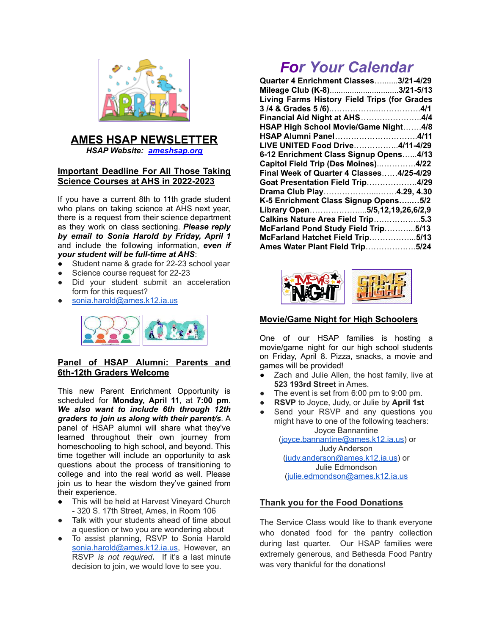

# **AMES HSAP NEWSLETTER**

*HSAP Website: [ameshsap.org](http://ameshsap.org)*

## **Important Deadline For All Those Taking Science Courses at AHS in 2022-2023**

If you have a current 8th to 11th grade student who plans on taking science at AHS next year, there is a request from their science department as they work on class sectioning. *Please reply by email to Sonia Harold by Friday, April 1* and include the following information, *even if your student will be full-time at AHS*:

- **●** Student name & grade for 22-23 school year
- Science course request for 22-23
- Did your student submit an acceleration form for this request?
- [sonia.harold@ames.k12.ia.us](mailto:sonia.harold@ames.k12.ia.us)



## **Panel of HSAP Alumni: Parents and 6th-12th Graders Welcome**

This new Parent Enrichment Opportunity is scheduled for **Monday, April 11**, at **7:00 pm**. *We also want to include 6th through 12th graders to join us along with their parent/s*. A panel of HSAP alumni will share what they've learned throughout their own journey from homeschooling to high school, and beyond. This time together will include an opportunity to ask questions about the process of transitioning to college and into the real world as well. Please join us to hear the wisdom they've gained from their experience.

- This will be held at Harvest Vineyard Church - 320 S. 17th Street, Ames, in Room 106
- Talk with your students ahead of time about a question or two you are wondering about
- To assist planning, RSVP to Sonia Harold [sonia.harold@ames.k12.ia.us,](mailto:sonia.harold@ames.k12.ia.us) However, an RSVP *is not required***.** If it's a last minute decision to join, we would love to see you.

# *For Your Calendar*

| Quarter 4 Enrichment Classes3/21-4/29        |  |
|----------------------------------------------|--|
| Mileage Club (K-8)3/21-5/13                  |  |
| Living Farms History Field Trips (for Grades |  |
|                                              |  |
| Financial Aid Night at AHS4/4                |  |
| HSAP High School Movie/Game Night4/8         |  |
| HSAP Alumni Panel4/11                        |  |
| LIVE UNITED Food Drive4/11-4/29              |  |
| 6-12 Enrichment Class Signup Opens4/13       |  |
| Capitol Field Trip (Des Moines)4/22          |  |
| Final Week of Quarter 4 Classes4/25-4/29     |  |
| Goat Presentation Field Trip4/29             |  |
| Drama Club Play4.29, 4.30                    |  |
| K-5 Enrichment Class Signup Opens5/2         |  |
| Library Open5/5,12,19,26,6/2,9               |  |
| Calkins Nature Area Field Trip5.3            |  |
| McFarland Pond Study Field Trip5/13          |  |
| McFarland Hatchet Field Trip5/13             |  |
| Ames Water Plant Field Trip5/24              |  |
|                                              |  |



# **Movie/Game Night for High Schoolers**

One of our HSAP families is hosting a movie/game night for our high school students on Friday, April 8. Pizza, snacks, a movie and games will be provided!

- Zach and Julie Allen, the host family, live at **523 193rd Street** in Ames.
- The event is set from 6:00 pm to 9:00 pm.
- **RSVP** to Joyce, Judy, or Julie by **April 1st**
- Send your RSVP and any questions you might have to one of the following teachers: Joyce Bannantine

[\(joyce.bannantine@ames.k12.ia.us](mailto:joyce.bannantine@ames.k12.ia.us)) or Judy Anderson [\(judy.anderson@ames.k12.ia.us\)](mailto:judy.anderson@ames.k12.ia.us) or Julie Edmondson ([julie.edmondson@ames.k12.ia.us](mailto:julie.edmondson@ames.k12.ia.us)

# **Thank you for the Food Donations**

The Service Class would like to thank everyone who donated food for the pantry collection during last quarter. Our HSAP families were extremely generous, and Bethesda Food Pantry was very thankful for the donations!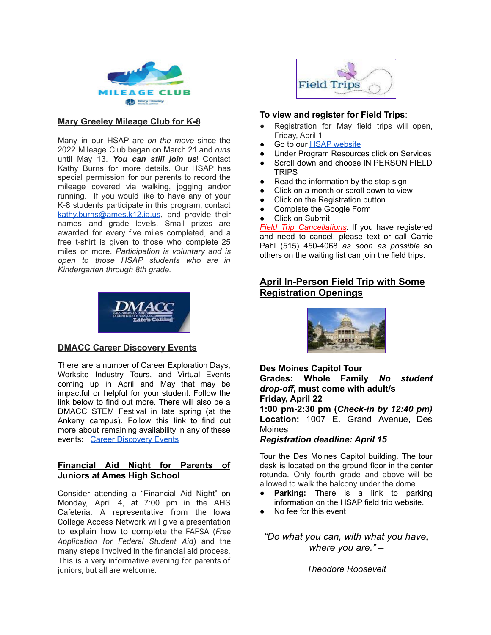

### **Mary Greeley Mileage Club for K-8**

Many in our HSAP are *on the move* since the 2022 Mileage Club began on March 21 and *runs* until May 13. *You can still join us*! Contact Kathy Burns for more details. Our HSAP has special permission for our parents to record the mileage covered via walking, jogging and/or running. If you would like to have any of your K-8 students participate in this program, contact [kathy.burns@ames.k12.ia.us](mailto:kathy.burns@ames.k12.ia.us), and provide their names and grade levels. Small prizes are awarded for every five miles completed, and a free t-shirt is given to those who complete 25 miles or more. *Participation is voluntary and is open to those HSAP students who are in Kindergarten through 8th grade.*



## **DMACC Career Discovery Events**

There are a number of Career Exploration Days, Worksite Industry Tours, and Virtual Events coming up in April and May that may be impactful or helpful for your student. Follow the link below to find out more. There will also be a DMACC STEM Festival in late spring (at the Ankeny campus). Follow this link to find out more about remaining availability in any of these events: Career [Discovery](https://www.dmacc.edu/workbasedlearning/careerdiscovery/Pages/careerdiscovery.aspx) Events

### **Financial Aid Night for Parents of Juniors at Ames High School**

Consider attending a "Financial Aid Night" on Monday, April 4, at 7:00 pm in the AHS Cafeteria. A representative from the Iowa College Access Network will give a presentation to explain how to complete the FAFSA (*Free Application for Federal Student Aid*) and the many steps involved in the financial aid process. This is a very informative evening for parents of juniors, but all are welcome.



## **To view and register for Field Trips**:

- Registration for May field trips will open, Friday, April 1
- Go to our **HSAP** [website](http://ameshsap.org/)
- Under Program Resources click on Services
- Scroll down and choose IN PERSON FIELD TRIPS
- Read the information by the stop sign
- Click on a month or scroll down to view
- Click on the Registration button
- Complete the Google Form
- **Click on Submit**

*Field Trip Cancellations:* If you have registered and need to cancel, please text or call Carrie Pahl (515) 450-4068 *as soon as possible* so others on the waiting list can join the field trips.

## **April In-Person Field Trip with Some Registration Openings**



**Des Moines Capitol Tour Grades: Whole Family** *No student drop-off***, must come with adult/s Friday, April 22 1:00 pm-2:30 pm (***Check-in by 12:40 pm)* **Location:** 1007 E. Grand Avenue, Des **Moines** *Registration deadline: April 15*

Tour the Des Moines Capitol building. The tour desk is located on the ground floor in the center rotunda. Only fourth grade and above will be allowed to walk the balcony under the dome.

- **Parking:** There is a link to parking information on the HSAP field trip website.
- No fee for this event

*"Do what you can, with what you have, where you are." –*

*Theodore [Roosevelt](https://everydaypower.com/theodore-roosevelt-quotes/)*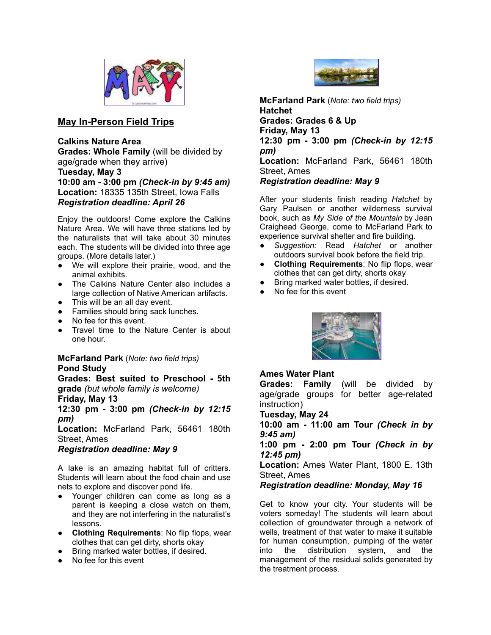

## **May In-Person Field Trips**

**Calkins Nature Area**

**Grades: Whole Family** (will be divided by age/grade when they arrive)

**Tuesday, May 3**

**10:00 am - 3:00 pm** *(Check-in by 9:45 am)* **Location:** 18335 135th Street, Iowa Falls *Registration deadline: April 26*

Enjoy the outdoors! Come explore the Calkins Nature Area. We will have three stations led by the naturalists that will take about 30 minutes each. The students will be divided into three age groups. (More details later.)

- We will explore their prairie, wood, and the animal exhibits.
- The Calkins Nature Center also includes a large collection of Native American artifacts.
- This will be an all day event.
- Families should bring sack lunches.
- No fee for this event.
- Travel time to the Nature Center is about one hour.

#### **McFarland Park** (*Note: two field trips)* **Pond Study**

**Grades: Best suited to Preschool - 5th grade** *(but whole family is welcome)*

**Friday, May 13**

**12:30 pm - 3:00 pm** *(Check-in by 12:15 pm)*

**Location:** McFarland Park, 56461 180th Street, Ames

*Registration deadline: May 9*

A lake is an amazing habitat full of critters. Students will learn about the food chain and use nets to explore and discover pond life.

- Younger children can come as long as a parent is keeping a close watch on them, and they are not interfering in the naturalist's lessons.
- **Clothing Requirements**: No flip flops, wear clothes that can get dirty, shorts okay
- Bring marked water bottles, if desired.
- No fee for this event



**McFarland Park** (*Note: two field trips)* **Hatchet Grades: Grades 6 & Up Friday, May 13 12:30 pm - 3:00 pm** *(Check-in by 12:15 pm)* **Location:** McFarland Park, 56461 180th Street, Ames *Registration deadline: May 9*

After your students finish reading *Hatchet* by Gary Paulsen or another wilderness survival book, such as *My Side of the Mountain* by Jean Craighead George, come to McFarland Park to experience survival shelter and fire building.

- *Suggestion:* Read *Hatchet* or another outdoors survival book before the field trip.
- **Clothing Requirements: No flip flops, wear** clothes that can get dirty, shorts okay
- Bring marked water bottles, if desired.
- No fee for this event



## **Ames Water Plant**

**Grades: Family** (will be divided by age/grade groups for better age-related instruction)

#### **Tuesday, May 24**

**10:00 am - 11:00 am Tour** *(Check in by 9:45 am)*

**1:00 pm - 2:00 pm Tour** *(Check in by 12:45 pm)*

**Location:** Ames Water Plant, 1800 E. 13th Street, Ames

## *Registration deadline: Monday, May 16*

Get to know your city. Your students will be voters someday! The students will learn about collection of groundwater through a network of wells, treatment of that water to make it suitable for human consumption, pumping of the water into the distribution system, and the management of the residual solids generated by the treatment process.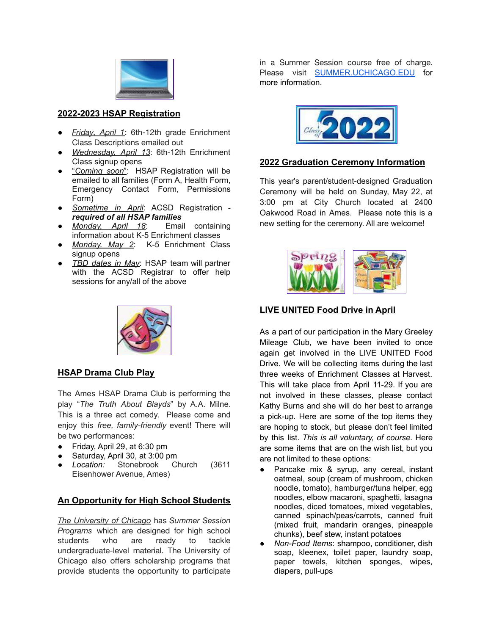

**2022-2023 HSAP Registration**

- *Friday, April 1*: 6th-12th grade Enrichment Class Descriptions emailed out
- *Wednesday, April 13*: 6th-12th Enrichment Class signup opens
- "*Coming soon*": HSAP Registration will be emailed to all families (Form A, Health Form, Emergency Contact Form, Permissions Form)
- *Sometime in April*: ACSD Registration *required of all HSAP families*
- *Monday, April 18*: Email containing information about K-5 Enrichment classes
- *Monday, May 2*: K-5 Enrichment Class signup opens
- *TBD dates in May*: HSAP team will partner with the ACSD Registrar to offer help sessions for any/all of the above



## **HSAP Drama Club Play**

The Ames HSAP Drama Club is performing the play "*The Truth About Blayds*" by A.A. Milne. This is a three act comedy. Please come and enjoy this *free, family-friendly* event! There will be two performances:

- Friday, April 29, at 6:30 pm
- Saturday, April 30, at 3:00 pm
- *Location:* Stonebrook Church (3611 Eisenhower Avenue, Ames)

## **An Opportunity for High School Students**

*The University of Chicago* has *Summer Session Programs* which are designed for high school students who are ready to tackle undergraduate-level material. The University of Chicago also offers scholarship programs that provide students the opportunity to participate

in a Summer Session course free of charge. Please visit **[SUMMER.UCHICAGO.EDU](http://summer.uchicago.edu/)** for more information.



## **2022 Graduation Ceremony Information**

This year's parent/student-designed Graduation Ceremony will be held on Sunday, May 22, at 3:00 pm at City Church located at 2400 Oakwood Road in Ames. Please note this is a new setting for the ceremony. All are welcome!



## **LIVE UNITED Food Drive in April**

As a part of our participation in the Mary Greeley Mileage Club, we have been invited to once again get involved in the LIVE UNITED Food Drive. We will be collecting items during the last three weeks of Enrichment Classes at Harvest. This will take place from April 11-29. If you are not involved in these classes, please contact Kathy Burns and she will do her best to arrange a pick-up. Here are some of the top items they are hoping to stock, but please don't feel limited by this list. *This is all voluntary, of course.* Here are some items that are on the wish list, but you are not limited to these options:

- Pancake mix & syrup, any cereal, instant oatmeal, soup (cream of mushroom, chicken noodle, tomato), hamburger/tuna helper, egg noodles, elbow macaroni, spaghetti, lasagna noodles, diced tomatoes, mixed vegetables, canned spinach/peas/carrots, canned fruit (mixed fruit, mandarin oranges, pineapple chunks), beef stew, instant potatoes
- *Non-Food Items*: shampoo, conditioner, dish soap, kleenex, toilet paper, laundry soap, paper towels, kitchen sponges, wipes, diapers, pull-ups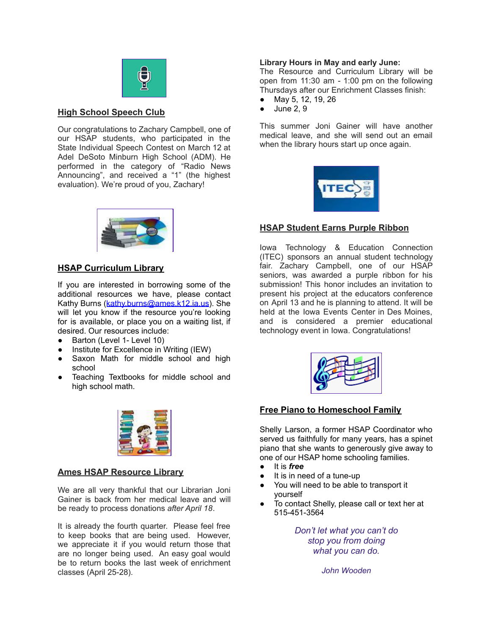

#### **High School Speech Club**

Our congratulations to Zachary Campbell, one of our HSAP students, who participated in the State Individual Speech Contest on March 12 at Adel DeSoto Minburn High School (ADM). He performed in the category of "Radio News Announcing", and received a "1" (the highest evaluation). We're proud of you, Zachary!



## **HSAP Curriculum Library**

If you are interested in borrowing some of the additional resources we have, please contact Kathy Burns ([kathy.burns@ames.k12.ia.us\)](mailto:kathy.burns@ames.k12.ia.us). She will let you know if the resource you're looking for is available, or place you on a waiting list, if desired. Our resources include:

- Barton (Level 1- Level 10)
- Institute for Excellence in Writing (IEW)
- Saxon Math for middle school and high school
- Teaching Textbooks for middle school and high school math.



## **Ames HSAP Resource Library**

We are all very thankful that our Librarian Joni Gainer is back from her medical leave and will be ready to process donations *after April 18*.

It is already the fourth quarter. Please feel free to keep books that are being used. However, we appreciate it if you would return those that are no longer being used. An easy goal would be to return books the last week of enrichment classes (April 25-28).

#### **Library Hours in May and early June:**

The Resource and Curriculum Library will be open from 11:30 am - 1:00 pm on the following Thursdays after our Enrichment Classes finish:

- May 5, 12, 19, 26
- June 2, 9

This summer Joni Gainer will have another medical leave, and she will send out an email when the library hours start up once again.



## **HSAP Student Earns Purple Ribbon**

Iowa Technology & Education Connection (ITEC) sponsors an annual student technology fair. Zachary Campbell, one of our HSAP seniors, was awarded a purple ribbon for his submission! This honor includes an invitation to present his project at the educators conference on April 13 and he is planning to attend. It will be held at the Iowa Events Center in Des Moines, and is considered a premier educational technology event in Iowa. Congratulations!



## **Free Piano to Homeschool Family**

Shelly Larson, a former HSAP Coordinator who served us faithfully for many years, has a spinet piano that she wants to generously give away to one of our HSAP home schooling families.

- It is *free*
- It is in need of a tune-up
- You will need to be able to transport it yourself
- To contact Shelly, please call or text her at 515-451-3564

*Don't let what you can't do stop you from doing what you can do.*

*John Wooden*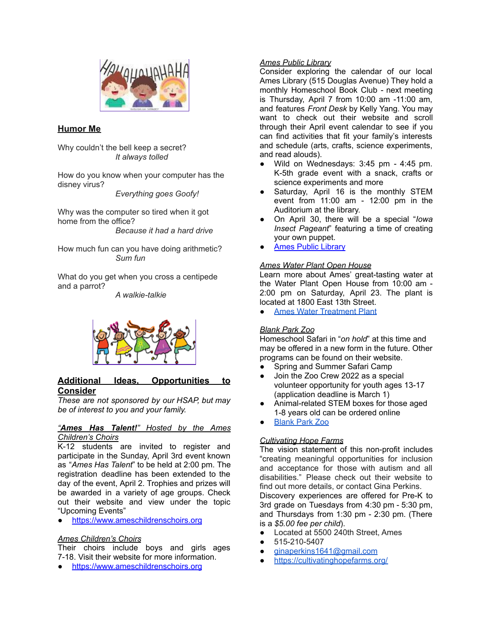

### **Humor Me**

Why couldn't the bell keep a secret? *It always tolled*

How do you know when your computer has the disney virus?

*Everything goes Goofy!*

Why was the computer so tired when it got home from the office? *Because it had a hard drive*

How much fun can you have doing arithmetic? *Sum fun*

What do you get when you cross a centipede and a parrot?

*A walkie-talkie*



### **Additional Ideas, Opportunities to Consider**

*These are not sponsored by our HSAP, but may be of interest to you and your family.*

#### *"Ames Has Talent!" Hosted by the Ames Children's Choirs*

K-12 students are invited to register and participate in the Sunday, April 3rd event known as "*Ames Has Talent*" to be held at 2:00 pm. The registration deadline has been extended to the day of the event, April 2. Trophies and prizes will be awarded in a variety of age groups. Check out their website and view under the topic "Upcoming Events"

● <https://www.ameschildrenschoirs.org>

#### *Ames Children's Choirs*

Their choirs include boys and girls ages 7-18. Visit their website for more information.

● <https://www.ameschildrenschoirs.org>

#### *Ames Public Library*

Consider exploring the calendar of our local Ames Library (515 Douglas Avenue) They hold a monthly Homeschool Book Club - next meeting is Thursday, April 7 from 10:00 am -11:00 am, and features *Front Desk* by Kelly Yang. You may want to check out their website and scroll through their April event calendar to see if you can find activities that fit your family's interests and schedule (arts, crafts, science experiments, and read alouds).

- Wild on Wednesdays: 3:45 pm 4:45 pm. K-5th grade event with a snack, crafts or science experiments and more
- Saturday, April 16 is the monthly STEM event from 11:00 am - 12:00 pm in the Auditorium at the library.
- On April 30, there will be a special "*Iowa Insect Pageant*" featuring a time of creating your own puppet.
- **Ames Public [Library](https://www.amespubliclibrary.org/)**

#### *Ames Water Plant Open House*

Learn more about Ames' great-tasting water at the Water Plant Open House from 10:00 am - 2:00 pm on Saturday, April 23. The plant is located at 1800 East 13th Street.

● Ames Water [Treatment](https://www.cityofames.org/government/departments-divisions-i-z/water-pollution-control/water-treatment-plant) Plant

#### *Blank Park Zoo*

Homeschool Safari in "*on hold*" at this time and may be offered in a new form in the future. Other programs can be found on their website.

- Spring and Summer Safari Camp
- Join the Zoo Crew 2022 as a special volunteer opportunity for youth ages 13-17 (application deadline is March 1)
- Animal-related STEM boxes for those aged 1-8 years old can be ordered online
- **[Blank](https://www.blankparkzoo.com/) Park Zoo**

## *Cultivating Hope Farms*

The vision statement of this non-profit includes "creating meaningful opportunities for inclusion and acceptance for those with autism and all disabilities." Please check out their website to find out more details, or contact Gina Perkins. Discovery experiences are offered for Pre-K to 3rd grade on Tuesdays from 4:30 pm - 5:30 pm, and Thursdays from 1:30 pm - 2:30 pm. (There is a *\$5.00 fee per child*).

- Located at 5500 240th Street, Ames
- 515-210-5407
- [ginaperkins1641@gmail.com](mailto:ginaperkins1641@gmail.com)
- <https://cultivatinghopefarms.org/>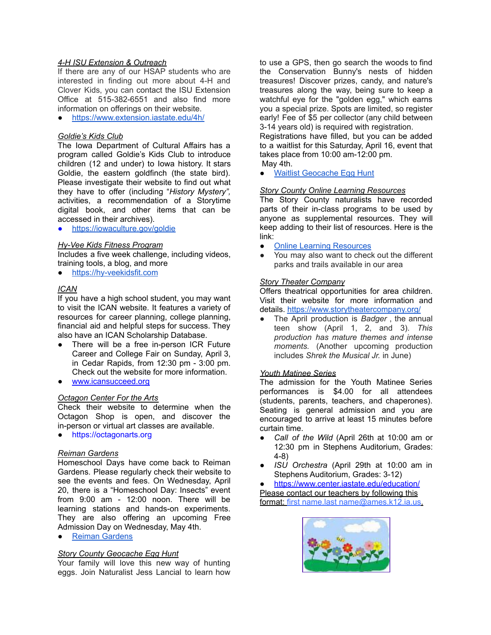#### *4-H ISU Extension & Outreach*

If there are any of our HSAP students who are interested in finding out more about 4-H and Clover Kids, you can contact the ISU Extension Office at 515-382-6551 and also find more information on offerings on their website.

● <https://www.extension.iastate.edu/4h/>

#### *Goldie's Kids Club*

The Iowa Department of Cultural Affairs has a program called Goldie's Kids Club to introduce children (12 and under) to Iowa history. It stars Goldie, the eastern goldfinch (the state bird). Please investigate their website to find out what they have to offer (including "*History Mystery",* activities, a recommendation of a Storytime digital book, and other items that can be accessed in their archives).

● <https://iowaculture.gov/goldie>

#### *Hy-Vee Kids Fitness Program*

Includes a five week challenge, including videos, training tools, a blog, and more

● <https://hy-veekidsfit.com>

#### *ICAN*

If you have a high school student, you may want to visit the ICAN website. It features a variety of resources for career planning, college planning, financial aid and helpful steps for success. They also have an ICAN Scholarship Database.

- There will be a free in-person ICR Future Career and College Fair on Sunday, April 3, in Cedar Rapids, from 12:30 pm - 3:00 pm. Check out the website for more information.
- [www.icansucceed.org](http://www.icansucceed.org)

#### *Octagon Center For the Arts*

Check their website to determine when the Octagon Shop is open, and discover the in-person or virtual art classes are available.

● <https://octagonarts.org>

#### *Reiman Gardens*

Homeschool Days have come back to Reiman Gardens. Please regularly check their website to see the events and fees. On Wednesday, April 20, there is a "Homeschool Day: Insects" event from 9:00 am - 12:00 noon. There will be learning stations and hands-on experiments. They are also offering an upcoming Free Admission Day on Wednesday, May 4th.

● Reiman [Gardens](https://www.reimangardens.com)

#### *Story County Geocache Egg Hunt*

Your family will love this new way of hunting eggs. Join Naturalist Jess Lancial to learn how to use a GPS, then go search the woods to find the Conservation Bunny's nests of hidden treasures! Discover prizes, candy, and nature's treasures along the way, being sure to keep a watchful eye for the "golden egg," which earns you a special prize. Spots are limited, so register early! Fee of \$5 per collector (any child between 3-14 years old) is required with registration.

Registrations have filled, but you can be added to a waitlist for this Saturday, April 16, event that takes place from 10:00 am-12:00 pm.

May 4th.

Waitlist [Geocache](https://www.mycountyparks.com/Event/Event_Waiting_Detail.aspx?Event_ID=FfKYRJ17BVs%3d) Egg Hunt

#### *Story County Online Learning Resources*

The Story County naturalists have recorded parts of their in-class programs to be used by anyone as supplemental resources. They will keep adding to their list of resources. Here is the link:

- Online Learning [Resources](https://www.storycountyiowa.gov/1463/Online-Learning-Resources)
- You may also want to check out the different parks and trails available in our area

#### *Story Theater Company*

Offers theatrical opportunities for area children. Visit their website for more information and details. <https://www.storytheatercompany.org/>

● The April production is *Badger* , the annual teen show (April 1, 2, and 3). *This production has mature themes and intense moments.* (Another upcoming production includes *Shrek the Musical Jr.* in June)

#### *Youth Matinee Series*

The admission for the Youth Matinee Series performances is \$4.00 for all attendees (students, parents, teachers, and chaperones). Seating is general admission and you are encouraged to arrive at least 15 minutes before curtain time.

- *● Call of the Wild* (April 26th at 10:00 am or 12:30 pm in Stephens Auditorium, Grades: 4-8)
- *● ISU Orchestra* (April 29th at 10:00 am in Stephens Auditorium, Grades: 3-12)

<https://www.center.iastate.edu/education/> Please contact our teachers by following this format: first name.last [name@ames.k12.ia.us](mailto:name@ames.k12.ia.us).